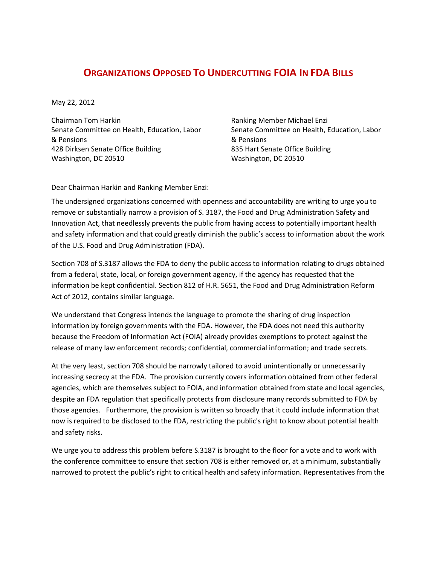## **ORGANIZATIONS OPPOSED TO UNDERCUTTING FOIA IN FDA BILLS**

May 22, 2012

Chairman Tom Harkin Senate Committee on Health, Education, Labor & Pensions 428 Dirksen Senate Office Building Washington, DC 20510

Ranking Member Michael Enzi Senate Committee on Health, Education, Labor & Pensions 835 Hart Senate Office Building Washington, DC 20510

Dear Chairman Harkin and Ranking Member Enzi:

The undersigned organizations concerned with openness and accountability are writing to urge you to remove or substantially narrow a provision of S. 3187, the Food and Drug Administration Safety and Innovation Act, that needlessly prevents the public from having access to potentially important health and safety information and that could greatly diminish the public's access to information about the work of the U.S. Food and Drug Administration (FDA).

Section 708 of S.3187 allows the FDA to deny the public access to information relating to drugs obtained from a federal, state, local, or foreign government agency, if the agency has requested that the information be kept confidential. Section 812 of H.R. 5651, the Food and Drug Administration Reform Act of 2012, contains similar language.

We understand that Congress intends the language to promote the sharing of drug inspection information by foreign governments with the FDA. However, the FDA does not need this authority because the Freedom of Information Act (FOIA) already provides exemptions to protect against the release of many law enforcement records; confidential, commercial information; and trade secrets.

At the very least, section 708 should be narrowly tailored to avoid unintentionally or unnecessarily increasing secrecy at the FDA. The provision currently covers information obtained from other federal agencies, which are themselves subject to FOIA, and information obtained from state and local agencies, despite an FDA regulation that specifically protects from disclosure many records submitted to FDA by those agencies. Furthermore, the provision is written so broadly that it could include information that now is required to be disclosed to the FDA, restricting the public's right to know about potential health and safety risks.

We urge you to address this problem before S.3187 is brought to the floor for a vote and to work with the conference committee to ensure that section 708 is either removed or, at a minimum, substantially narrowed to protect the public's right to critical health and safety information. Representatives from the